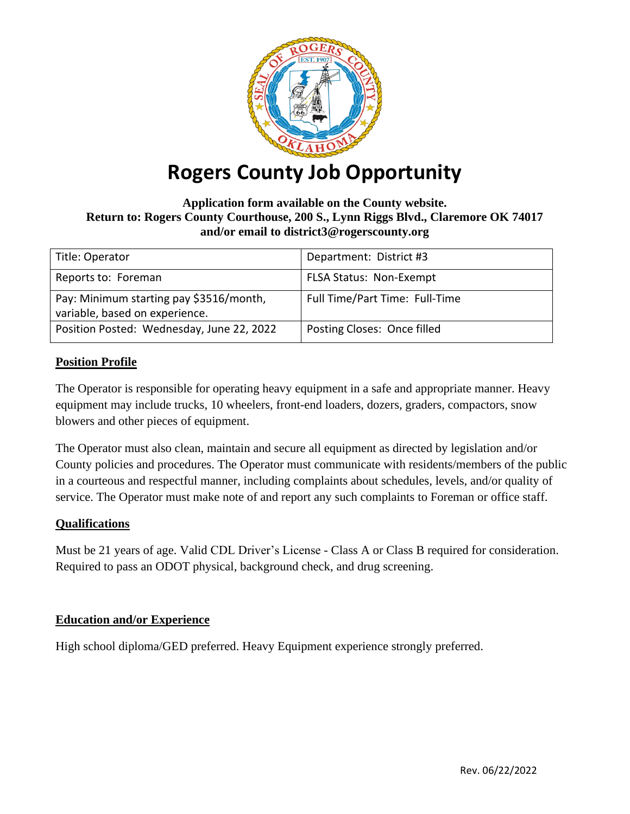

# **Rogers County Job Opportunity**

## **Application form available on the County website. Return to: Rogers County Courthouse, 200 S., Lynn Riggs Blvd., Claremore OK 74017 and/or email to district3@rogerscounty.org**

| Title: Operator                           | Department: District #3        |
|-------------------------------------------|--------------------------------|
|                                           |                                |
| Reports to: Foreman                       | <b>FLSA Status: Non-Exempt</b> |
|                                           |                                |
| Pay: Minimum starting pay \$3516/month,   | Full Time/Part Time: Full-Time |
|                                           |                                |
| variable, based on experience.            |                                |
| Position Posted: Wednesday, June 22, 2022 | Posting Closes: Once filled    |
|                                           |                                |
|                                           |                                |

# **Position Profile**

The Operator is responsible for operating heavy equipment in a safe and appropriate manner. Heavy equipment may include trucks, 10 wheelers, front-end loaders, dozers, graders, compactors, snow blowers and other pieces of equipment.

The Operator must also clean, maintain and secure all equipment as directed by legislation and/or County policies and procedures. The Operator must communicate with residents/members of the public in a courteous and respectful manner, including complaints about schedules, levels, and/or quality of service. The Operator must make note of and report any such complaints to Foreman or office staff.

## **Qualifications**

Must be 21 years of age. Valid CDL Driver's License - Class A or Class B required for consideration. Required to pass an ODOT physical, background check, and drug screening.

## **Education and/or Experience**

High school diploma/GED preferred. Heavy Equipment experience strongly preferred.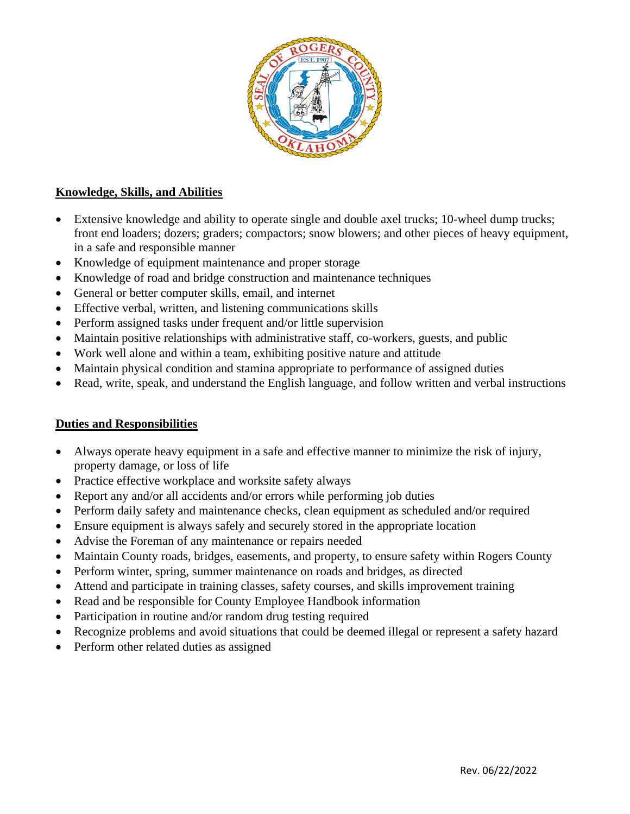

# **Knowledge, Skills, and Abilities**

- Extensive knowledge and ability to operate single and double axel trucks; 10-wheel dump trucks; front end loaders; dozers; graders; compactors; snow blowers; and other pieces of heavy equipment, in a safe and responsible manner
- Knowledge of equipment maintenance and proper storage
- Knowledge of road and bridge construction and maintenance techniques
- General or better computer skills, email, and internet
- Effective verbal, written, and listening communications skills
- Perform assigned tasks under frequent and/or little supervision
- Maintain positive relationships with administrative staff, co-workers, guests, and public
- Work well alone and within a team, exhibiting positive nature and attitude
- Maintain physical condition and stamina appropriate to performance of assigned duties
- Read, write, speak, and understand the English language, and follow written and verbal instructions

## **Duties and Responsibilities**

- Always operate heavy equipment in a safe and effective manner to minimize the risk of injury, property damage, or loss of life
- Practice effective workplace and worksite safety always
- Report any and/or all accidents and/or errors while performing job duties
- Perform daily safety and maintenance checks, clean equipment as scheduled and/or required
- Ensure equipment is always safely and securely stored in the appropriate location
- Advise the Foreman of any maintenance or repairs needed
- Maintain County roads, bridges, easements, and property, to ensure safety within Rogers County
- Perform winter, spring, summer maintenance on roads and bridges, as directed
- Attend and participate in training classes, safety courses, and skills improvement training
- Read and be responsible for County Employee Handbook information
- Participation in routine and/or random drug testing required
- Recognize problems and avoid situations that could be deemed illegal or represent a safety hazard
- Perform other related duties as assigned